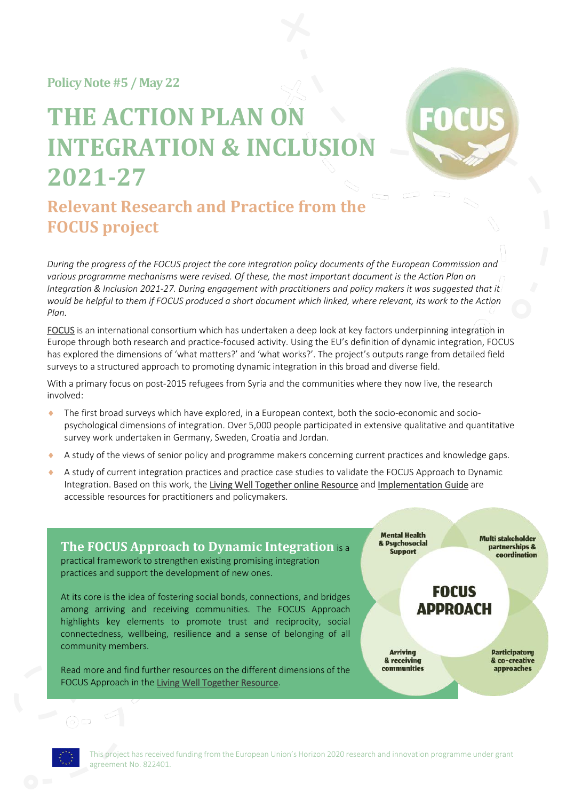**Policy Note#5 / May 22**

# **THE ACTION PLAN ON INTEGRATION & INCLUSION 2021-27**



# **Relevant Research and Practice from the FOCUS project**

*During the progress of the FOCUS project the core integration policy documents of the European Commission and*  various programme mechanisms were revised. Of these, the most important document is the Action Plan on *Integration & Inclusion 2021-27. During engagement with practitioners and policy makers it was suggested that it would be helpful to them if FOCUS produced a short document which linked, where relevant, its work to the Action Plan.*

[FOCUS](http://www.focus-refugees.eu/) is an international consortium which has undertaken a deep look at key factors underpinning integration in Europe through both research and practice-focused activity. Using the EU's definition of dynamic integration, FOCUS has explored the dimensions of 'what matters?' and 'what works?'. The project's outputs range from detailed field surveys to a structured approach to promoting dynamic integration in this broad and diverse field.

With a primary focus on post-2015 refugees from Syria and the communities where they now live, the research involved:

- The first broad surveys which have explored, in a European context, both the socio-economic and sociopsychological dimensions of integration. Over 5,000 people participated in extensive qualitative and quantitative survey work undertaken in Germany, Sweden, Croatia and Jordan.
- A study of the views of senior policy and programme makers concerning current practices and knowledge gaps.
- A study of current integration practices and practice case studies to validate the FOCUS Approach to Dynamic Integration. Based on this work, th[e Living Well Together online Resource](http://www.focus-refugees.eu/resource/) an[d Implementation Guide](http://www.focus-refugees.eu/resource/#ig) are accessible resources for practitioners and policymakers.

**The FOCUS Approach to Dynamic Integration** is a practical framework to strengthen existing promising integration practices and support the development of new ones.

At its core is the idea of fostering social bonds, connections, and bridges among arriving and receiving communities. The FOCUS Approach highlights key elements to promote trust and reciprocity, social connectedness, wellbeing, resilience and a sense of belonging of all community members.

Read more and find further resources on the different dimensions of the FOCUS Approach in the [Living Well Together Resource.](http://www.focus-refugees.eu/resource/)

**Mental Health** & Psychosocial **Support** 

**Multi stakeholder** partnerships & coordination

**FOCUS ADDROACH** 

**Arriving** & receiving communities **Participatory** & co-creative approaches

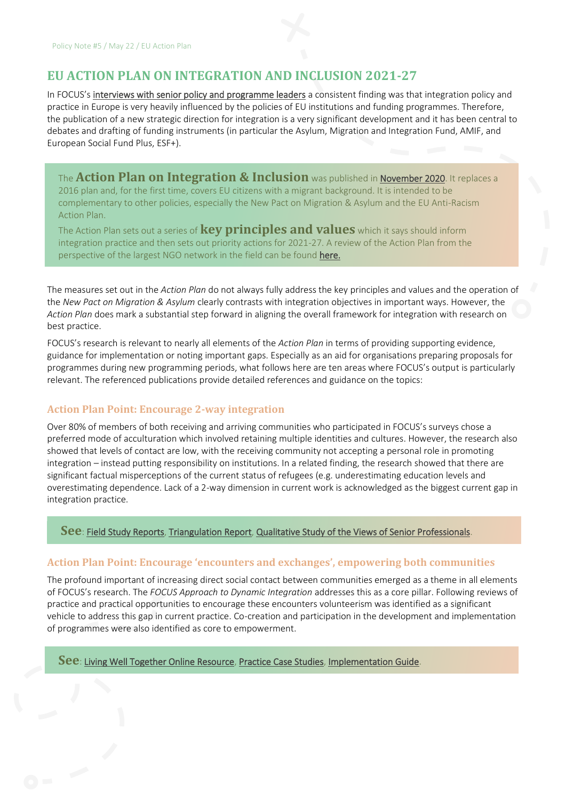# **EU ACTION PLAN ON INTEGRATION AND INCLUSION 2021-27**

In FOCUS's [interviews with senior policy and programme leaders](https://www.focus-refugees.eu/wp-content/uploads/FOCUS_Brief-1_Integration-practice-in-Europe.pdf) a consistent finding was that integration policy and practice in Europe is very heavily influenced by the policies of EU institutions and funding programmes. Therefore, the publication of a new strategic direction for integration is a very significant development and it has been central to debates and drafting of funding instruments (in particular the Asylum, Migration and Integration Fund, AMIF, and European Social Fund Plus, ESF+).

The **Action Plan on Integration & Inclusion** was published in [November 2020.](https://ec.europa.eu/migrant-integration/news/one-year-eu-action-plan-integration-and-inclusion-2021-2027_en) It replaces a 2016 plan and, for the first time, covers EU citizens with a migrant background. It is intended to be complementary to other policies, especially the New Pact on Migration & Asylum and the EU Anti-Racism Action Plan.

The Action Plan sets out a series of **key principles and values** which it says should inform integration practice and then sets out priority actions for 2021-27. A review of the Action Plan from the perspective of the largest NGO network in the field can be found [here.](https://ecre.org/op-ed-the-new-action-plan-on-integration-and-inclusion-promising-elements-rising-expectations/)

The measures set out in the *Action Plan* do not always fully address the key principles and values and the operation of the *New Pact on Migration & Asylum* clearly contrasts with integration objectives in important ways. However, the *Action Plan* does mark a substantial step forward in aligning the overall framework for integration with research on best practice.

FOCUS's research is relevant to nearly all elements of the *Action Plan* in terms of providing supporting evidence, guidance for implementation or noting important gaps. Especially as an aid for organisations preparing proposals for programmes during new programming periods, what follows here are ten areas where FOCUS's output is particularly relevant. The referenced publications provide detailed references and guidance on the topics:

#### **Action Plan Point: Encourage 2-way integration**

Over 80% of members of both receiving and arriving communities who participated in FOCUS's surveys chose a preferred mode of acculturation which involved retaining multiple identities and cultures. However, the research also showed that levels of contact are low, with the receiving community not accepting a personal role in promoting integration – instead putting responsibility on institutions. In a related finding, the research showed that there are significant factual misperceptions of the current status of refugees (e.g. underestimating education levels and overestimating dependence. Lack of a 2-way dimension in current work is acknowledged as the biggest current gap in integration practice.

#### **See**: [Field Study Reports,](https://www.focus-refugees.eu/results/#research) [Triangulation Report,](https://www.focus-refugees.eu/wp-content/uploads/FOCUS-Triangulation-report.pdf) [Qualitative Study of the Views of Senior Professionals.](https://www.focus-refugees.eu/wp-content/uploads/FOCUS_Brief-1_Integration-practice-in-Europe.pdf)

#### **Action Plan Point: Encourage 'encounters and exchanges', empowering both communities**

The profound important of increasing direct social contact between communities emerged as a theme in all elements of FOCUS's research. The *FOCUS Approach to Dynamic Integration* addresses this as a core pillar. Following reviews of practice and practical opportunities to encourage these encounters volunteerism was identified as a significant vehicle to address this gap in current practice. Co-creation and participation in the development and implementation of programmes were also identified as core to empowerment.

**See**[: Living Well Together Online Resource,](https://www.focus-refugees.eu/resource/) [Practice Case Studies,](https://www.focus-refugees.eu/resource/#casestudies) [Implementation Guide.](https://www.focus-refugees.eu/resource/#ig)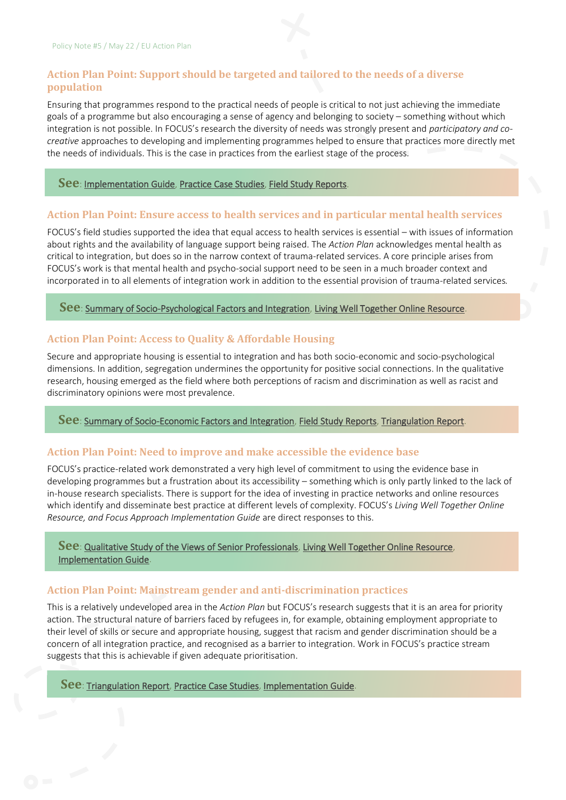#### **Action Plan Point: Support should be targeted and tailored to the needs of a diverse population**

Ensuring that programmes respond to the practical needs of people is critical to not just achieving the immediate goals of a programme but also encouraging a sense of agency and belonging to society – something without which integration is not possible. In FOCUS's research the diversity of needs was strongly present and *participatory and cocreative* approaches to developing and implementing programmes helped to ensure that practices more directly met the needs of individuals. This is the case in practices from the earliest stage of the process.

#### **See**[: Implementation Guide,](https://www.focus-refugees.eu/resource/#ig) [Practice Case Studies,](https://www.focus-refugees.eu/resource/#casestudies) [Field Study Reports.](https://www.focus-refugees.eu/results/#research)

#### **Action Plan Point: Ensure access to health services and in particular mental health services**

FOCUS's field studies supported the idea that equal access to health services is essential – with issues of information about rights and the availability of language support being raised. The *Action Plan* acknowledges mental health as critical to integration, but does so in the narrow context of trauma-related services. A core principle arises from FOCUS's work is that mental health and psycho-social support need to be seen in a much broader context and incorporated in to all elements of integration work in addition to the essential provision of trauma-related services*.*

#### **See**: [Summary of Socio-Psychological Factors and Integration,](https://www.focus-refugees.eu/wp-content/uploads/FOCUS_Policy-Note-2_SP-factors.pdf) [Living Well Together Online Resource.](https://www.focus-refugees.eu/resource/)

#### **Action Plan Point: Access to Quality & Affordable Housing**

Secure and appropriate housing is essential to integration and has both socio-economic and socio-psychological dimensions. In addition, segregation undermines the opportunity for positive social connections. In the qualitative research, housing emerged as the field where both perceptions of racism and discrimination as well as racist and discriminatory opinions were most prevalence.

#### **See**[: Summary of Socio-Economic Factors and Integration,](https://www.focus-refugees.eu/wp-content/uploads/FOCUS_Brief-3_Socio-economic-factors_Oct2020.pdf) [Field Study Reports,](https://www.focus-refugees.eu/results/#research) [Triangulation Report.](https://www.focus-refugees.eu/wp-content/uploads/FOCUS-Triangulation-report.pdf)

#### **Action Plan Point: Need to improve and make accessible the evidence base**

FOCUS's practice-related work demonstrated a very high level of commitment to using the evidence base in developing programmes but a frustration about its accessibility – something which is only partly linked to the lack of in-house research specialists. There is support for the idea of investing in practice networks and online resources which identify and disseminate best practice at different levels of complexity. FOCUS's *Living Well Together Online Resource, and Focus Approach Implementation Guide* are direct responses to this.

#### **See**[: Qualitative Study of the Views of Senior Professionals,](https://www.focus-refugees.eu/wp-content/uploads/FOCUS_Brief-1_Integration-practice-in-Europe.pdf) [Living Well Together Online Resource,](https://www.focus-refugees.eu/resource/) [Implementation Guide.](https://www.focus-refugees.eu/resource/#ig)

#### **Action Plan Point: Mainstream gender and anti-discrimination practices**

This is a relatively undeveloped area in the *Action Plan* but FOCUS's research suggests that it is an area for priority action. The structural nature of barriers faced by refugees in, for example, obtaining employment appropriate to their level of skills or secure and appropriate housing, suggest that racism and gender discrimination should be a concern of all integration practice, and recognised as a barrier to integration. Work in FOCUS's practice stream suggests that this is achievable if given adequate prioritisation.

**See**: [Triangulation Report,](https://www.focus-refugees.eu/wp-content/uploads/FOCUS-Triangulation-report.pdf) [Practice Case Studies,](https://www.focus-refugees.eu/resource/#casestudies) [Implementation Guide.](https://www.focus-refugees.eu/resource/#ig)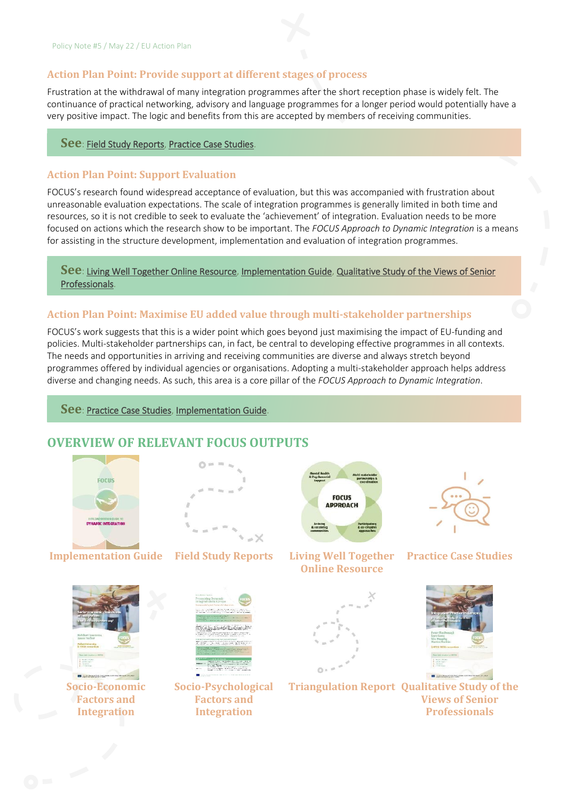#### **Action Plan Point: Provide support at different stages of process**

Frustration at the withdrawal of many integration programmes after the short reception phase is widely felt. The continuance of practical networking, advisory and language programmes for a longer period would potentially have a very positive impact. The logic and benefits from this are accepted by members of receiving communities.

#### **See**: [Field Study Reports,](https://www.focus-refugees.eu/results/#research) [Practice Case Studies.](https://www.focus-refugees.eu/resource/#casestudies)

### **Action Plan Point: Support Evaluation**

FOCUS's research found widespread acceptance of evaluation, but this was accompanied with frustration about unreasonable evaluation expectations. The scale of integration programmes is generally limited in both time and resources, so it is not credible to seek to evaluate the 'achievement' of integration. Evaluation needs to be more focused on actions which the research show to be important. The *FOCUS Approach to Dynamic Integration* is a means for assisting in the structure development, implementation and evaluation of integration programmes.

#### **See**: [Living Well Together Online Resource,](https://www.focus-refugees.eu/resource/) [Implementation Guide,](https://www.focus-refugees.eu/resource/#ig) [Qualitative Study of the Views of Senior](https://www.focus-refugees.eu/wp-content/uploads/FOCUS_Brief-1_Integration-practice-in-Europe.pdf)  [Professionals.](https://www.focus-refugees.eu/wp-content/uploads/FOCUS_Brief-1_Integration-practice-in-Europe.pdf)

#### **Action Plan Point: Maximise EU added value through multi-stakeholder partnerships**

FOCUS's work suggests that this is a wider point which goes beyond just maximising the impact of EU-funding and policies. Multi-stakeholder partnerships can, in fact, be central to developing effective programmes in all contexts. The needs and opportunities in arriving and receiving communities are diverse and always stretch beyond programmes offered by individual agencies or organisations. Adopting a multi-stakeholder approach helps address diverse and changing needs. As such, this area is a core pillar of the *FOCUS Approach to Dynamic Integration*.

**See**: [Practice Case Studies,](https://www.focus-refugees.eu/resource/#casestudies) [Implementation Guide.](https://www.focus-refugees.eu/resource/#ig)

## **OVERVIEW OF RELEVANT FOCUS OUTPUTS**



**Implementation Guide Field Study Reports Living Well Together** 





**Online Resource**





**Socio-Economic Factors and Integration**





**Socio-Psychological Factors and Integration**



**Triangulation Report Qualitative Study of the Views of Senior Professionals**